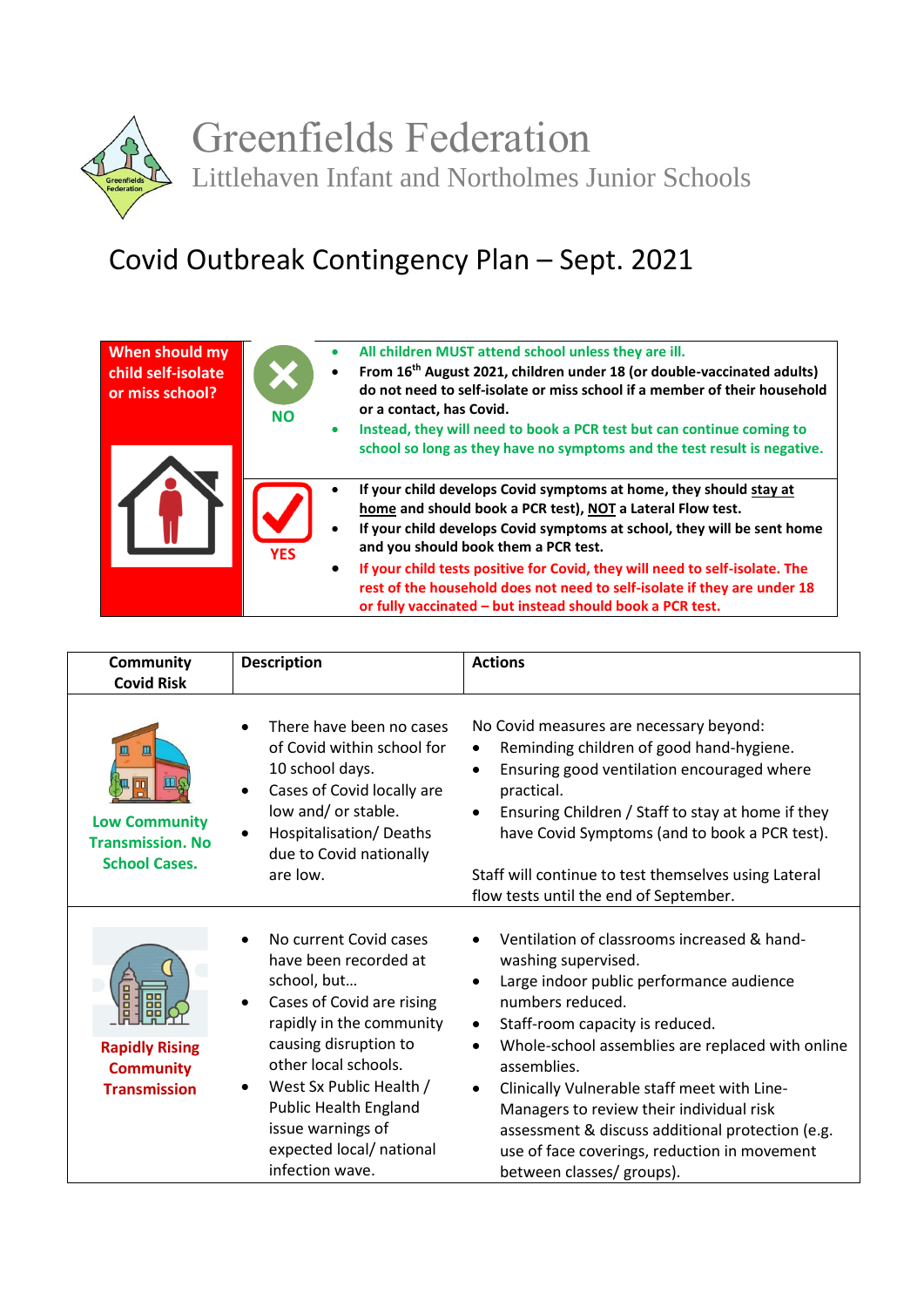

## Covid Outbreak Contingency Plan – Sept. 2021

| When should my<br>child self-isolate<br>or miss school? | $\bullet$<br><b>NO</b><br>۰ | All children MUST attend school unless they are ill.<br>From 16 <sup>th</sup> August 2021, children under 18 (or double-vaccinated adults)<br>do not need to self-isolate or miss school if a member of their household<br>or a contact, has Covid.<br>Instead, they will need to book a PCR test but can continue coming to<br>school so long as they have no symptoms and the test result is negative.                                                                    |
|---------------------------------------------------------|-----------------------------|-----------------------------------------------------------------------------------------------------------------------------------------------------------------------------------------------------------------------------------------------------------------------------------------------------------------------------------------------------------------------------------------------------------------------------------------------------------------------------|
|                                                         | $\bullet$<br><b>YFS</b>     | If your child develops Covid symptoms at home, they should stay at<br>home and should book a PCR test), NOT a Lateral Flow test.<br>If your child develops Covid symptoms at school, they will be sent home<br>and you should book them a PCR test.<br>If your child tests positive for Covid, they will need to self-isolate. The<br>rest of the household does not need to self-isolate if they are under 18<br>or fully vaccinated - but instead should book a PCR test. |

| <b>Community</b><br><b>Covid Risk</b>                                        | <b>Description</b>                                                                                                                                                                                                                                                                                                                             | <b>Actions</b>                                                                                                                                                                                                                                                                                                                                                                                                                                                                                                           |
|------------------------------------------------------------------------------|------------------------------------------------------------------------------------------------------------------------------------------------------------------------------------------------------------------------------------------------------------------------------------------------------------------------------------------------|--------------------------------------------------------------------------------------------------------------------------------------------------------------------------------------------------------------------------------------------------------------------------------------------------------------------------------------------------------------------------------------------------------------------------------------------------------------------------------------------------------------------------|
| Щ<br><b>Low Community</b><br><b>Transmission. No</b><br><b>School Cases.</b> | There have been no cases<br>of Covid within school for<br>10 school days.<br>Cases of Covid locally are<br>$\bullet$<br>low and/ or stable.<br>Hospitalisation/Deaths<br>due to Covid nationally<br>are low.                                                                                                                                   | No Covid measures are necessary beyond:<br>Reminding children of good hand-hygiene.<br>$\bullet$<br>Ensuring good ventilation encouraged where<br>$\bullet$<br>practical.<br>Ensuring Children / Staff to stay at home if they<br>$\bullet$<br>have Covid Symptoms (and to book a PCR test).<br>Staff will continue to test themselves using Lateral<br>flow tests until the end of September.                                                                                                                           |
| <b>Rapidly Rising</b><br><b>Community</b><br><b>Transmission</b>             | No current Covid cases<br>$\bullet$<br>have been recorded at<br>school, but<br>Cases of Covid are rising<br>$\bullet$<br>rapidly in the community<br>causing disruption to<br>other local schools.<br>West Sx Public Health /<br>$\bullet$<br><b>Public Health England</b><br>issue warnings of<br>expected local/ national<br>infection wave. | Ventilation of classrooms increased & hand-<br>washing supervised.<br>Large indoor public performance audience<br>$\bullet$<br>numbers reduced.<br>Staff-room capacity is reduced.<br>$\bullet$<br>Whole-school assemblies are replaced with online<br>$\bullet$<br>assemblies.<br>Clinically Vulnerable staff meet with Line-<br>$\bullet$<br>Managers to review their individual risk<br>assessment & discuss additional protection (e.g.<br>use of face coverings, reduction in movement<br>between classes/ groups). |